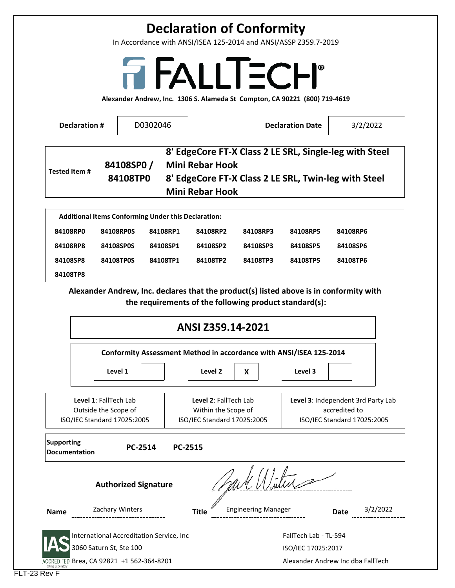## **Declaration of Conformity**

In Accordance with ANSI/ISEA 125‐2014 and ANSI/ASSP Z359.7‐2019

# FALLTECH<sup>®</sup>

**Alexander Andrew, Inc. 1306 S. Alameda St Compton, CA 90221 (800) 719‐4619**

|                                                                                                                                                                                                                                                          | <b>Declaration #</b> |                         | D0302046                                            |                                                                    |                                   | <b>Declaration Date</b> | 3/2/2022                                                                                                       |
|----------------------------------------------------------------------------------------------------------------------------------------------------------------------------------------------------------------------------------------------------------|----------------------|-------------------------|-----------------------------------------------------|--------------------------------------------------------------------|-----------------------------------|-------------------------|----------------------------------------------------------------------------------------------------------------|
| <b>Tested Item#</b>                                                                                                                                                                                                                                      |                      | 84108SP0/<br>84108TP0   |                                                     | <b>Mini Rebar Hook</b><br><b>Mini Rebar Hook</b>                   |                                   |                         | 8' EdgeCore FT-X Class 2 LE SRL, Single-leg with Steel<br>8' EdgeCore FT-X Class 2 LE SRL, Twin-leg with Steel |
|                                                                                                                                                                                                                                                          |                      |                         | Additional Items Conforming Under this Declaration: |                                                                    |                                   |                         |                                                                                                                |
| 84108RP0                                                                                                                                                                                                                                                 |                      | 84108RP0S               | 84108RP1                                            | 84108RP2                                                           | 84108RP3                          | 84108RP5                | 84108RP6                                                                                                       |
| 84108RP8                                                                                                                                                                                                                                                 |                      | 84108SP0S               | 84108SP1                                            | 84108SP2                                                           | 84108SP3                          | 84108SP5                | 84108SP6                                                                                                       |
| 84108SP8                                                                                                                                                                                                                                                 |                      | 84108TP0S               | 84108TP1                                            | 84108TP2                                                           | 84108TP3                          | 84108TP5                | 84108TP6                                                                                                       |
|                                                                                                                                                                                                                                                          |                      |                         |                                                     | Conformity Assessment Method in accordance with ANSI/ISEA 125-2014 |                                   |                         |                                                                                                                |
|                                                                                                                                                                                                                                                          |                      | Level 1                 |                                                     | Level 2                                                            | X                                 | Level 3                 |                                                                                                                |
| Level 3: Independent 3rd Party Lab<br><b>Level 1: FallTech Lab</b><br>Level 2: FallTech Lab<br>Outside the Scope of<br>Within the Scope of<br>accredited to<br>ISO/IEC Standard 17025:2005<br>ISO/IEC Standard 17025:2005<br>ISO/IEC Standard 17025:2005 |                      |                         |                                                     |                                                                    |                                   |                         |                                                                                                                |
| <b>Supporting</b>                                                                                                                                                                                                                                        | <b>Documentation</b> | PC-2514                 |                                                     | <b>PC-2515</b>                                                     |                                   |                         |                                                                                                                |
| <b>Authorized Signature</b>                                                                                                                                                                                                                              |                      |                         |                                                     |                                                                    |                                   |                         |                                                                                                                |
| <b>Name</b>                                                                                                                                                                                                                                              |                      | Zachary Winters         |                                                     | <b>Title</b>                                                       | <b>Engineering Manager</b>        |                         | 3/2/2022<br>Date                                                                                               |
|                                                                                                                                                                                                                                                          |                      |                         | International Accreditation Service, Inc            |                                                                    |                                   | FallTech Lab - TL-594   |                                                                                                                |
|                                                                                                                                                                                                                                                          |                      | 3060 Saturn St, Ste 100 |                                                     |                                                                    | ISO/IEC 17025:2017                |                         |                                                                                                                |
| ACCREDITED Brea, CA 92821 +1 562-364-8201                                                                                                                                                                                                                |                      |                         |                                                     |                                                                    | Alexander Andrew Inc dba FallTech |                         |                                                                                                                |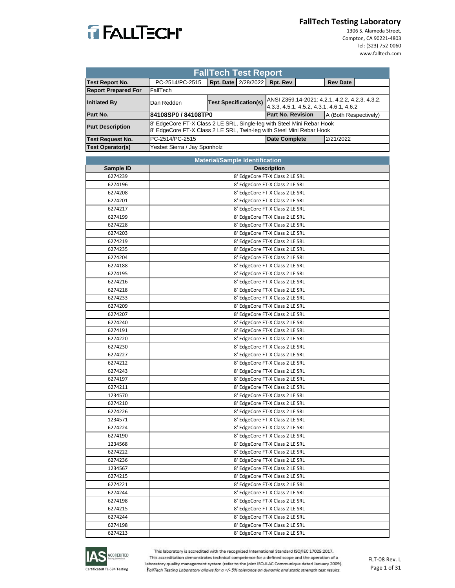

 1306 S. Alameda Street, Compton, CA 90221‐4803 Tel: (323) 752‐0060 www.falltech.com

| <b>FallTech Test Report</b> |                                                                                                                                                |                                  |  |                                                                                            |  |                       |  |
|-----------------------------|------------------------------------------------------------------------------------------------------------------------------------------------|----------------------------------|--|--------------------------------------------------------------------------------------------|--|-----------------------|--|
| Test Report No.             | PC-2514/PC-2515                                                                                                                                | Rpt. Date   2/28/2022   Rpt. Rev |  |                                                                                            |  | <b>Rev Date</b>       |  |
| <b>Report Prepared For</b>  | FallTech                                                                                                                                       |                                  |  |                                                                                            |  |                       |  |
| <b>Initiated By</b>         | Dan Redden                                                                                                                                     | <b>Test Specification(s)</b>     |  | ANSI Z359.14-2021: 4.2.1, 4.2.2, 4.2.3, 4.3.2,<br>4.3.3, 4.5.1, 4.5.2, 4.3.1, 4.6.1, 4.6.2 |  |                       |  |
| Part No.                    | 84108SP0 / 84108TP0                                                                                                                            |                                  |  | <b>Part No. Revision</b>                                                                   |  | A (Both Respectively) |  |
| <b>Part Description</b>     | 8' EdgeCore FT-X Class 2 LE SRL, Single-leg with Steel Mini Rebar Hook<br>8' EdgeCore FT-X Class 2 LE SRL, Twin-leg with Steel Mini Rebar Hook |                                  |  |                                                                                            |  |                       |  |
| <b>Test Request No.</b>     | PC-2514/PC-2515                                                                                                                                |                                  |  | <b>Date Complete</b>                                                                       |  | 2/21/2022             |  |
| <b>Test Operator(s)</b>     | Yesbet Sierra / Jay Sponholz                                                                                                                   |                                  |  |                                                                                            |  |                       |  |
|                             |                                                                                                                                                |                                  |  |                                                                                            |  |                       |  |

| <b>Material/Sample Identification</b> |                                 |  |  |  |  |  |
|---------------------------------------|---------------------------------|--|--|--|--|--|
| Sample ID                             | <b>Description</b>              |  |  |  |  |  |
| 6274239                               | 8' EdgeCore FT-X Class 2 LE SRL |  |  |  |  |  |
| 6274196                               | 8' EdgeCore FT-X Class 2 LE SRL |  |  |  |  |  |
| 6274208                               | 8' EdgeCore FT-X Class 2 LE SRL |  |  |  |  |  |
| 6274201                               | 8' EdgeCore FT-X Class 2 LE SRL |  |  |  |  |  |
| 6274217                               | 8' EdgeCore FT-X Class 2 LE SRL |  |  |  |  |  |
| 6274199                               | 8' EdgeCore FT-X Class 2 LE SRL |  |  |  |  |  |
| 6274228                               | 8' EdgeCore FT-X Class 2 LE SRL |  |  |  |  |  |
| 6274203                               | 8' EdgeCore FT-X Class 2 LE SRL |  |  |  |  |  |
| 6274219                               | 8' EdgeCore FT-X Class 2 LE SRL |  |  |  |  |  |
| 6274235                               | 8' EdgeCore FT-X Class 2 LE SRL |  |  |  |  |  |
| 6274204                               | 8' EdgeCore FT-X Class 2 LE SRL |  |  |  |  |  |
| 6274188                               | 8' EdgeCore FT-X Class 2 LE SRL |  |  |  |  |  |
| 6274195                               | 8' EdgeCore FT-X Class 2 LE SRL |  |  |  |  |  |
| 6274216                               | 8' EdgeCore FT-X Class 2 LE SRL |  |  |  |  |  |
| 6274218                               | 8' EdgeCore FT-X Class 2 LE SRL |  |  |  |  |  |
| 6274233                               | 8' EdgeCore FT-X Class 2 LE SRL |  |  |  |  |  |
| 6274209                               | 8' EdgeCore FT-X Class 2 LE SRL |  |  |  |  |  |
| 6274207                               | 8' EdgeCore FT-X Class 2 LE SRL |  |  |  |  |  |
| 6274240                               | 8' EdgeCore FT-X Class 2 LE SRL |  |  |  |  |  |
| 6274191                               | 8' EdgeCore FT-X Class 2 LE SRL |  |  |  |  |  |
| 6274220                               | 8' EdgeCore FT-X Class 2 LE SRL |  |  |  |  |  |
| 6274230                               | 8' EdgeCore FT-X Class 2 LE SRL |  |  |  |  |  |
| 6274227                               | 8' EdgeCore FT-X Class 2 LE SRL |  |  |  |  |  |
| 6274212                               | 8' EdgeCore FT-X Class 2 LE SRL |  |  |  |  |  |
| 6274243                               | 8' EdgeCore FT-X Class 2 LE SRL |  |  |  |  |  |
| 6274197                               | 8' EdgeCore FT-X Class 2 LE SRL |  |  |  |  |  |
| 6274211                               | 8' EdgeCore FT-X Class 2 LE SRL |  |  |  |  |  |
| 1234570                               | 8' EdgeCore FT-X Class 2 LE SRL |  |  |  |  |  |
| 6274210                               | 8' EdgeCore FT-X Class 2 LE SRL |  |  |  |  |  |
| 6274226                               | 8' EdgeCore FT-X Class 2 LE SRL |  |  |  |  |  |
| 1234571                               | 8' EdgeCore FT-X Class 2 LE SRL |  |  |  |  |  |
| 6274224                               | 8' EdgeCore FT-X Class 2 LE SRL |  |  |  |  |  |
| 6274190                               | 8' EdgeCore FT-X Class 2 LE SRL |  |  |  |  |  |
| 1234568                               | 8' EdgeCore FT-X Class 2 LE SRL |  |  |  |  |  |
| 6274222                               | 8' EdgeCore FT-X Class 2 LE SRL |  |  |  |  |  |
| 6274236                               | 8' EdgeCore FT-X Class 2 LE SRL |  |  |  |  |  |
| 1234567                               | 8' EdgeCore FT-X Class 2 LE SRL |  |  |  |  |  |
| 6274215                               | 8' EdgeCore FT-X Class 2 LE SRL |  |  |  |  |  |
| 6274221                               | 8' EdgeCore FT-X Class 2 LE SRL |  |  |  |  |  |
| 6274244                               | 8' EdgeCore FT-X Class 2 LE SRL |  |  |  |  |  |
| 6274198                               | 8' EdgeCore FT-X Class 2 LE SRL |  |  |  |  |  |
| 6274215                               | 8' EdgeCore FT-X Class 2 LE SRL |  |  |  |  |  |
| 6274244                               | 8' EdgeCore FT-X Class 2 LE SRL |  |  |  |  |  |
| 6274198                               | 8' EdgeCore FT-X Class 2 LE SRL |  |  |  |  |  |
| 6274213                               | 8' EdgeCore FT-X Class 2 LE SRL |  |  |  |  |  |

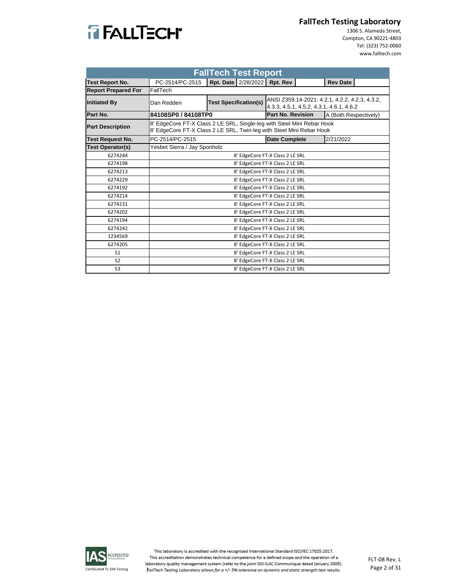

 1306 S. Alameda Street, Compton, CA 90221‐4803 Tel: (323) 752‐0060 www.falltech.com

|                            | <b>FallTech Test Report</b>                                                                                                                    |                              |                       |                                 |  |                                                                                            |  |
|----------------------------|------------------------------------------------------------------------------------------------------------------------------------------------|------------------------------|-----------------------|---------------------------------|--|--------------------------------------------------------------------------------------------|--|
| <b>Test Report No.</b>     | PC-2514/PC-2515                                                                                                                                |                              | Rpt. Date   2/28/2022 | Rpt. Rev                        |  | <b>Rev Date</b>                                                                            |  |
| <b>Report Prepared For</b> | FallTech                                                                                                                                       |                              |                       |                                 |  |                                                                                            |  |
| <b>Initiated By</b>        | Dan Redden                                                                                                                                     | <b>Test Specification(s)</b> |                       |                                 |  | ANSI Z359.14-2021: 4.2.1, 4.2.2, 4.2.3, 4.3.2,<br>4.3.3, 4.5.1, 4.5.2, 4.3.1, 4.6.1, 4.6.2 |  |
| Part No.                   | 84108SP0 / 84108TP0                                                                                                                            |                              |                       | <b>Part No. Revision</b>        |  | A (Both Respectively)                                                                      |  |
| <b>Part Description</b>    | 8' EdgeCore FT-X Class 2 LE SRL, Single-leg with Steel Mini Rebar Hook<br>8' EdgeCore FT-X Class 2 LE SRL, Twin-leg with Steel Mini Rebar Hook |                              |                       |                                 |  |                                                                                            |  |
| Test Request No.           | PC-2514/PC-2515                                                                                                                                |                              |                       | <b>Date Complete</b>            |  | 2/21/2022                                                                                  |  |
| <b>Test Operator(s)</b>    | Yesbet Sierra / Jay Sponholz                                                                                                                   |                              |                       |                                 |  |                                                                                            |  |
| 6274244                    |                                                                                                                                                |                              |                       | 8' EdgeCore FT-X Class 2 LE SRL |  |                                                                                            |  |
| 6274198                    |                                                                                                                                                |                              |                       | 8' EdgeCore FT-X Class 2 LE SRL |  |                                                                                            |  |
| 6274213                    |                                                                                                                                                |                              |                       | 8' EdgeCore FT-X Class 2 LE SRL |  |                                                                                            |  |
| 6274229                    |                                                                                                                                                |                              |                       | 8' EdgeCore FT-X Class 2 LE SRL |  |                                                                                            |  |
| 6274192                    |                                                                                                                                                |                              |                       | 8' EdgeCore FT-X Class 2 LE SRL |  |                                                                                            |  |
| 6274214                    |                                                                                                                                                |                              |                       | 8' EdgeCore FT-X Class 2 LE SRL |  |                                                                                            |  |
| 6274231                    |                                                                                                                                                |                              |                       | 8' EdgeCore FT-X Class 2 LE SRL |  |                                                                                            |  |
| 6274202                    |                                                                                                                                                |                              |                       | 8' EdgeCore FT-X Class 2 LE SRL |  |                                                                                            |  |
| 6274194                    |                                                                                                                                                |                              |                       | 8' EdgeCore FT-X Class 2 LE SRL |  |                                                                                            |  |
| 6274242                    |                                                                                                                                                |                              |                       | 8' EdgeCore FT-X Class 2 LE SRL |  |                                                                                            |  |
| 1234569                    |                                                                                                                                                |                              |                       | 8' EdgeCore FT-X Class 2 LE SRL |  |                                                                                            |  |
| 6274205                    | 8' EdgeCore FT-X Class 2 LE SRL                                                                                                                |                              |                       |                                 |  |                                                                                            |  |
| S <sub>1</sub>             | 8' EdgeCore FT-X Class 2 LE SRL                                                                                                                |                              |                       |                                 |  |                                                                                            |  |
| S <sub>2</sub>             |                                                                                                                                                |                              |                       | 8' EdgeCore FT-X Class 2 LE SRL |  |                                                                                            |  |
| S3                         |                                                                                                                                                |                              |                       | 8' EdgeCore FT-X Class 2 LE SRL |  |                                                                                            |  |

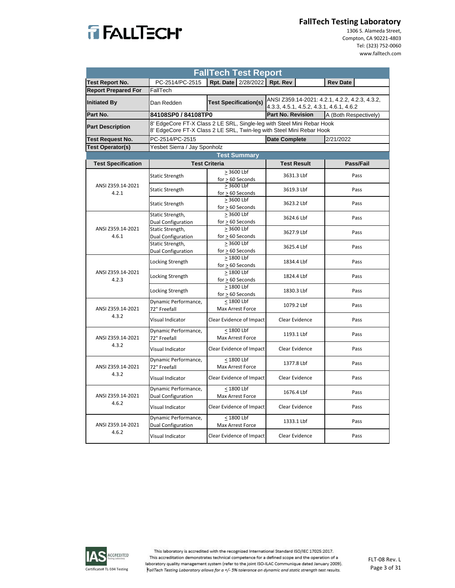

 1306 S. Alameda Street, Compton, CA 90221‐4803 Tel: (323) 752‐0060 www.falltech.com

| <b>FallTech Test Report</b> |                                                   |                                                                                                                                                |                                                                                            |                       |  |  |
|-----------------------------|---------------------------------------------------|------------------------------------------------------------------------------------------------------------------------------------------------|--------------------------------------------------------------------------------------------|-----------------------|--|--|
| <b>Test Report No.</b>      | PC-2514/PC-2515                                   | Rpt. Date 2/28/2022 Rpt. Rev                                                                                                                   |                                                                                            | <b>Rev Date</b>       |  |  |
| <b>Report Prepared For</b>  | FallTech                                          |                                                                                                                                                |                                                                                            |                       |  |  |
| <b>Initiated By</b>         | Dan Redden                                        | <b>Test Specification(s)</b>                                                                                                                   | ANSI Z359.14-2021: 4.2.1, 4.2.2, 4.2.3, 4.3.2,<br>4.3.3, 4.5.1, 4.5.2, 4.3.1, 4.6.1, 4.6.2 |                       |  |  |
| Part No.                    | 84108SP0 / 84108TP0                               |                                                                                                                                                | Part No. Revision                                                                          | A (Both Respectively) |  |  |
| <b>Part Description</b>     |                                                   | 8' EdgeCore FT-X Class 2 LE SRL, Single-leg with Steel Mini Rebar Hook<br>8' EdgeCore FT-X Class 2 LE SRL, Twin-leg with Steel Mini Rebar Hook |                                                                                            |                       |  |  |
| <b>Test Request No.</b>     | PC-2514/PC-2515                                   |                                                                                                                                                | <b>Date Complete</b>                                                                       | 2/21/2022             |  |  |
| <b>Test Operator(s)</b>     | Yesbet Sierra / Jay Sponholz                      |                                                                                                                                                |                                                                                            |                       |  |  |
|                             |                                                   | <b>Test Summary</b>                                                                                                                            |                                                                                            |                       |  |  |
| <b>Test Specification</b>   |                                                   | <b>Test Criteria</b>                                                                                                                           | <b>Test Result</b>                                                                         | Pass/Fail             |  |  |
|                             |                                                   | $\geq$ 3600 Lbf                                                                                                                                |                                                                                            |                       |  |  |
| ANSI Z359.14-2021           | <b>Static Strength</b>                            | $for > 60$ Seconds<br>$> 3600$ Lbf                                                                                                             | 3631.3 Lbf                                                                                 | Pass                  |  |  |
| 4.2.1                       | <b>Static Strength</b>                            | $for > 60$ Seconds                                                                                                                             | 3619.3 Lbf                                                                                 | Pass                  |  |  |
|                             | <b>Static Strength</b>                            | > 3600 Lbf<br>$for > 60$ Seconds                                                                                                               | 3623.2 Lbf                                                                                 | Pass                  |  |  |
|                             | Static Strength,<br>Dual Configuration            | > 3600 Lbf<br>$for > 60$ Seconds                                                                                                               | 3624.6 Lbf                                                                                 | Pass                  |  |  |
| ANSI Z359.14-2021<br>4.6.1  | Static Strength,<br>Dual Configuration            | > 3600 Lbf<br>$for > 60$ Seconds                                                                                                               | 3627.9 Lbf                                                                                 | Pass                  |  |  |
|                             | Static Strength,<br>Dual Configuration            | > 3600 Lbf<br>for $\geq 60$ Seconds                                                                                                            | 3625.4 Lbf                                                                                 | Pass                  |  |  |
|                             | <b>Locking Strength</b>                           | > 1800 Lbf<br>$for > 60$ Seconds                                                                                                               | 1834.4 Lbf                                                                                 | Pass                  |  |  |
| ANSI Z359.14-2021<br>4.2.3  | Locking Strength                                  | > 1800 Lbf<br>$for > 60$ Seconds                                                                                                               | 1824.4 Lbf                                                                                 | Pass                  |  |  |
|                             | Locking Strength                                  | > 1800 Lbf<br>for $\geq 60$ Seconds                                                                                                            | 1830.3 Lbf                                                                                 | Pass                  |  |  |
| ANSI Z359.14-2021           | Dynamic Performance,<br>72" Freefall              | < 1800 Lbf<br>Max Arrest Force                                                                                                                 | 1079.2 Lbf                                                                                 | Pass                  |  |  |
| 4.3.2                       | Visual Indicator                                  | Clear Evidence of Impact                                                                                                                       | Clear Evidence                                                                             | Pass                  |  |  |
| ANSI Z359.14-2021           | Dynamic Performance,<br>72" Freefall              | < 1800 Lbf<br>Max Arrest Force                                                                                                                 | 1193.1 Lbf                                                                                 | Pass                  |  |  |
| 4.3.2                       | Visual Indicator                                  | Clear Evidence of Impact                                                                                                                       | Clear Evidence                                                                             | Pass                  |  |  |
| ANSI Z359.14-2021           | Dynamic Performance,<br>72" Freefall              | < 1800 Lbf<br><b>Max Arrest Force</b>                                                                                                          | 1377.8 Lbf                                                                                 | Pass                  |  |  |
| 4.3.2                       | Visual Indicator                                  | Clear Evidence of Impact                                                                                                                       | Clear Evidence                                                                             | Pass                  |  |  |
| ANSI Z359.14-2021           | Dynamic Performance,<br>Dual Configuration        | < 1800 Lbf<br>Max Arrest Force                                                                                                                 | 1676.4 Lbf                                                                                 | Pass                  |  |  |
| 4.6.2                       | Visual Indicator                                  | Clear Evidence of Impact                                                                                                                       | Clear Evidence                                                                             | Pass                  |  |  |
| ANSI Z359.14-2021           | Dynamic Performance,<br><b>Dual Configuration</b> | < 1800 Lbf<br>Max Arrest Force                                                                                                                 | 1333.1 Lbf                                                                                 | Pass                  |  |  |
| 4.6.2                       | Visual Indicator                                  | Clear Evidence of Impact                                                                                                                       | Clear Evidence                                                                             | Pass                  |  |  |

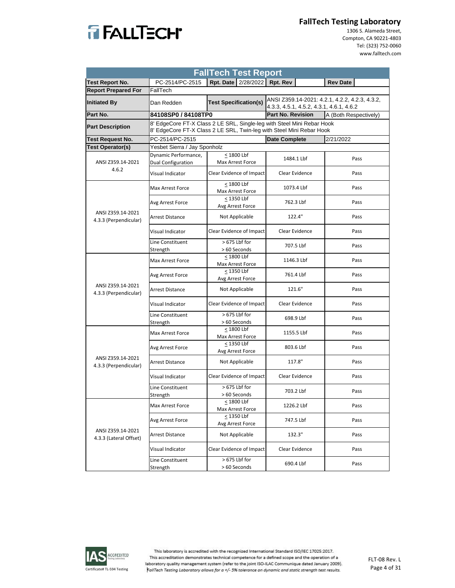

 1306 S. Alameda Street, Compton, CA 90221‐4803 Tel: (323) 752‐0060 www.falltech.com

| <b>FallTech Test Report</b>                                       |                                            |                                                                                                                                                |                          |                       |  |  |
|-------------------------------------------------------------------|--------------------------------------------|------------------------------------------------------------------------------------------------------------------------------------------------|--------------------------|-----------------------|--|--|
| <b>Test Report No.</b>                                            | PC-2514/PC-2515                            | Rpt. Date 2/28/2022 Rpt. Rev                                                                                                                   |                          | <b>Rev Date</b>       |  |  |
| <b>Report Prepared For</b>                                        | FallTech                                   |                                                                                                                                                |                          |                       |  |  |
| <b>Test Specification(s)</b><br><b>Initiated By</b><br>Dan Redden |                                            | ANSI Z359.14-2021: 4.2.1, 4.2.2, 4.2.3, 4.3.2,<br>4.3.3, 4.5.1, 4.5.2, 4.3.1, 4.6.1, 4.6.2                                                     |                          |                       |  |  |
| Part No.                                                          | 84108SP0 / 84108TP0                        |                                                                                                                                                | <b>Part No. Revision</b> | A (Both Respectively) |  |  |
| <b>Part Description</b>                                           |                                            | 8' EdgeCore FT-X Class 2 LE SRL, Single-leg with Steel Mini Rebar Hook<br>8' EdgeCore FT-X Class 2 LE SRL, Twin-leg with Steel Mini Rebar Hook |                          |                       |  |  |
| Test Request No.                                                  | PC-2514/PC-2515                            |                                                                                                                                                | <b>Date Complete</b>     | 2/21/2022             |  |  |
| <b>Test Operator(s)</b>                                           | Yesbet Sierra / Jay Sponholz               |                                                                                                                                                |                          |                       |  |  |
| ANSI Z359.14-2021                                                 | Dynamic Performance,<br>Dual Configuration | < 1800 Lbf<br>Max Arrest Force                                                                                                                 | 1484.1 Lbf               | Pass                  |  |  |
| 4.6.2                                                             | Visual Indicator                           | Clear Evidence of Impact                                                                                                                       | Clear Evidence           | Pass                  |  |  |
|                                                                   | Max Arrest Force                           | < 1800 Lbf<br>Max Arrest Force                                                                                                                 | 1073.4 Lbf               | Pass                  |  |  |
|                                                                   | Avg Arrest Force                           | < 1350 Lbf<br>Avg Arrest Force                                                                                                                 | 762.3 Lbf                | Pass                  |  |  |
| ANSI Z359.14-2021<br>4.3.3 (Perpendicular)                        | <b>Arrest Distance</b>                     | Not Applicable                                                                                                                                 | 122.4"                   | Pass                  |  |  |
|                                                                   | Visual Indicator                           | Clear Evidence of Impact                                                                                                                       | Clear Evidence           | Pass                  |  |  |
|                                                                   | Line Constituent<br>Strength               | $>675$ Lbf for<br>> 60 Seconds                                                                                                                 | 707.5 Lbf                | Pass                  |  |  |
|                                                                   | Max Arrest Force                           | < 1800 Lbf<br>Max Arrest Force                                                                                                                 | 1146.3 Lbf               | Pass                  |  |  |
|                                                                   | Avg Arrest Force                           | < 1350 Lbf<br>Avg Arrest Force                                                                                                                 | 761.4 Lbf                | Pass                  |  |  |
| ANSI Z359.14-2021<br>4.3.3 (Perpendicular)                        | <b>Arrest Distance</b>                     | Not Applicable                                                                                                                                 | 121.6"                   | Pass                  |  |  |
|                                                                   | Visual Indicator                           | Clear Evidence of Impact                                                                                                                       | Clear Evidence           | Pass                  |  |  |
|                                                                   | Line Constituent<br>Strength               | > 675 Lbf for<br>> 60 Seconds                                                                                                                  | 698.9 Lbf                | Pass                  |  |  |
|                                                                   | Max Arrest Force                           | < 1800 Lbf<br>Max Arrest Force                                                                                                                 | 1155.5 Lbf               | Pass                  |  |  |
|                                                                   | Avg Arrest Force                           | < 1350 Lbf<br>Avg Arrest Force                                                                                                                 | 803.6 Lbf                | Pass                  |  |  |
| ANSI Z359.14-2021<br>4.3.3 (Perpendicular)                        | <b>Arrest Distance</b>                     | Not Applicable                                                                                                                                 | 117.8"                   | Pass                  |  |  |
|                                                                   | Visual Indicator                           | Clear Evidence of Impact                                                                                                                       | Clear Evidence           | Pass                  |  |  |
|                                                                   | Line Constituent<br>Strength               | > 675 Lbf for<br>> 60 Seconds                                                                                                                  | 703.2 Lbf                | Pass                  |  |  |
|                                                                   | Max Arrest Force                           | $\leq$ 1800 Lbf<br>Max Arrest Force                                                                                                            | 1226.2 Lbf               | Pass                  |  |  |
|                                                                   | Avg Arrest Force                           | < 1350 Lbf<br>Avg Arrest Force                                                                                                                 | 747.5 Lbf                | Pass                  |  |  |
| ANSI Z359.14-2021<br>4.3.3 (Lateral Offset)                       | <b>Arrest Distance</b>                     | Not Applicable                                                                                                                                 | 132.3"                   | Pass                  |  |  |
|                                                                   | Visual Indicator                           | Clear Evidence of Impact                                                                                                                       | Clear Evidence           | Pass                  |  |  |
|                                                                   | Line Constituent<br>Strength               | > 675 Lbf for<br>> 60 Seconds                                                                                                                  | 690.4 Lbf                | Pass                  |  |  |

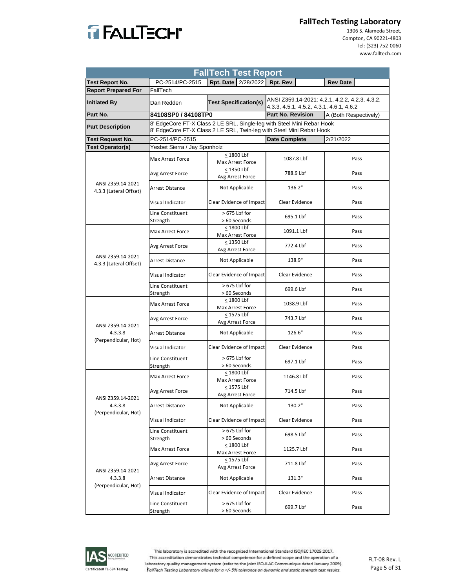

 1306 S. Alameda Street, Compton, CA 90221‐4803 Tel: (323) 752‐0060 www.falltech.com

| <b>FallTech Test Report</b>                 |                              |                                                                                                                                                |                                          |                                                |  |
|---------------------------------------------|------------------------------|------------------------------------------------------------------------------------------------------------------------------------------------|------------------------------------------|------------------------------------------------|--|
| <b>Test Report No.</b>                      | PC-2514/PC-2515              | Rpt. Date   2/28/2022   Rpt. Rev                                                                                                               |                                          | <b>Rev Date</b>                                |  |
| <b>Report Prepared For</b>                  | FallTech                     |                                                                                                                                                |                                          |                                                |  |
| <b>Initiated By</b>                         | Dan Redden                   | <b>Test Specification(s)</b>                                                                                                                   | 4.3.3, 4.5.1, 4.5.2, 4.3.1, 4.6.1, 4.6.2 | ANSI Z359.14-2021: 4.2.1, 4.2.2, 4.2.3, 4.3.2, |  |
| Part No.                                    | 84108SP0 / 84108TP0          |                                                                                                                                                | Part No. Revision                        | A (Both Respectively)                          |  |
| <b>Part Description</b>                     |                              | 8' EdgeCore FT-X Class 2 LE SRL, Single-leg with Steel Mini Rebar Hook<br>8' EdgeCore FT-X Class 2 LE SRL, Twin-leg with Steel Mini Rebar Hook |                                          |                                                |  |
| <b>Test Request No.</b>                     | PC-2514/PC-2515              |                                                                                                                                                | <b>Date Complete</b>                     | 2/21/2022                                      |  |
| <b>Test Operator(s)</b>                     | Yesbet Sierra / Jay Sponholz |                                                                                                                                                |                                          |                                                |  |
|                                             | Max Arrest Force             | < 1800 Lbf<br>Max Arrest Force                                                                                                                 | 1087.8 Lbf                               | Pass                                           |  |
|                                             | Avg Arrest Force             | < 1350 Lbf<br>Avg Arrest Force                                                                                                                 | 788.9 Lbf                                | Pass                                           |  |
| ANSI Z359.14-2021<br>4.3.3 (Lateral Offset) | Arrest Distance              | Not Applicable                                                                                                                                 | 136.2"                                   | Pass                                           |  |
|                                             | Visual Indicator             | Clear Evidence of Impact                                                                                                                       | Clear Evidence                           | Pass                                           |  |
|                                             | Line Constituent<br>Strength | $>675$ Lbf for<br>> 60 Seconds                                                                                                                 | 695.1 Lbf                                | Pass                                           |  |
|                                             | Max Arrest Force             | < 1800 Lbf<br>Max Arrest Force                                                                                                                 | 1091.1 Lbf                               | Pass                                           |  |
|                                             | Avg Arrest Force             | < 1350 Lbf<br>Avg Arrest Force                                                                                                                 | 772.4 Lbf                                | Pass                                           |  |
| ANSI Z359.14-2021<br>4.3.3 (Lateral Offset) | Arrest Distance              | Not Applicable                                                                                                                                 | 138.9"                                   | Pass                                           |  |
|                                             | Visual Indicator             | Clear Evidence of Impact                                                                                                                       | Clear Evidence                           | Pass                                           |  |
|                                             | Line Constituent<br>Strength | > 675 Lbf for<br>> 60 Seconds                                                                                                                  | 699.6 Lbf                                | Pass                                           |  |
|                                             | Max Arrest Force             | < 1800 Lbf<br>Max Arrest Force                                                                                                                 | 1038.9 Lbf                               | Pass                                           |  |
|                                             | Avg Arrest Force             | $\leq$ 1575 Lbf<br>Avg Arrest Force                                                                                                            | 743.7 Lbf                                | Pass                                           |  |
| ANSI Z359.14-2021<br>4.3.3.8                | <b>Arrest Distance</b>       | Not Applicable                                                                                                                                 | 126.6"                                   | Pass                                           |  |
| (Perpendicular, Hot)                        | Visual Indicator             | Clear Evidence of Impact                                                                                                                       | Clear Evidence                           | Pass                                           |  |
|                                             | Line Constituent<br>Strength | > 675 Lbf for<br>> 60 Seconds                                                                                                                  | 697.1 Lbf                                | Pass                                           |  |
|                                             | <b>Max Arrest Force</b>      | < 1800 Lbf<br>Max Arrest Force                                                                                                                 | 1146.8 Lbf                               | Pass                                           |  |
| ANSI Z359.14-2021                           | Avg Arrest Force             | < 1575 Lbf<br>Avg Arrest Force                                                                                                                 | 714.5 Lbf                                | Pass                                           |  |
| 4.3.3.8<br>(Perpendicular, Hot)             | <b>Arrest Distance</b>       | Not Applicable                                                                                                                                 | 130.2"                                   | Pass                                           |  |
|                                             | Visual Indicator             | Clear Evidence of Impact                                                                                                                       | Clear Evidence                           | Pass                                           |  |
|                                             | Line Constituent<br>Strength | > 675 Lbf for<br>> 60 Seconds                                                                                                                  | 698.5 Lbf                                | Pass                                           |  |
|                                             | <b>Max Arrest Force</b>      | < 1800 Lbf<br>Max Arrest Force                                                                                                                 | 1125.7 Lbf                               | Pass                                           |  |
| ANSI Z359.14-2021                           | Avg Arrest Force             | $\leq$ 1575 Lbf<br>Avg Arrest Force                                                                                                            | 711.8 Lbf                                | Pass                                           |  |
| 4.3.3.8<br>(Perpendicular, Hot)             | <b>Arrest Distance</b>       | Not Applicable                                                                                                                                 | 131.3"                                   | Pass                                           |  |
|                                             | Visual Indicator             | Clear Evidence of Impact                                                                                                                       | Clear Evidence                           | Pass                                           |  |
|                                             | Line Constituent<br>Strength | > 675 Lbf for<br>> 60 Seconds                                                                                                                  | 699.7 Lbf                                | Pass                                           |  |

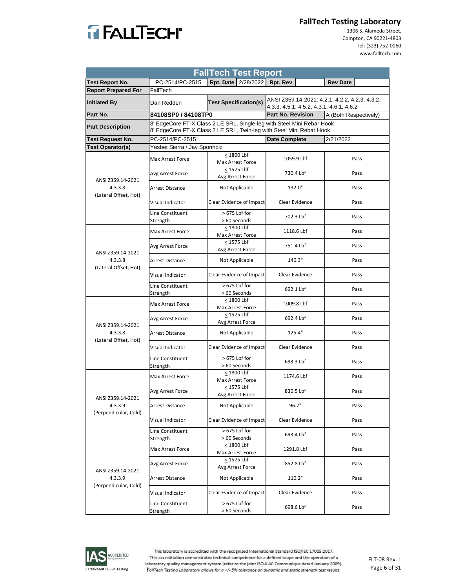

 1306 S. Alameda Street, Compton, CA 90221‐4803 Tel: (323) 752‐0060 www.falltech.com

| <b>FallTech Test Report</b>      |                                                                                                                                                |                                |                                          |                                                |  |  |
|----------------------------------|------------------------------------------------------------------------------------------------------------------------------------------------|--------------------------------|------------------------------------------|------------------------------------------------|--|--|
| <b>Test Report No.</b>           | PC-2514/PC-2515                                                                                                                                | Rpt. Date 2/28/2022 Rpt. Rev   |                                          | <b>Rev Date</b>                                |  |  |
| <b>Report Prepared For</b>       | FallTech                                                                                                                                       |                                |                                          |                                                |  |  |
| <b>Initiated By</b>              | Dan Redden                                                                                                                                     | <b>Test Specification(s)</b>   | 4.3.3, 4.5.1, 4.5.2, 4.3.1, 4.6.1, 4.6.2 | ANSI Z359.14-2021: 4.2.1, 4.2.2, 4.2.3, 4.3.2, |  |  |
| Part No.                         | 84108SP0 / 84108TP0                                                                                                                            |                                | <b>Part No. Revision</b>                 | A (Both Respectively)                          |  |  |
| <b>Part Description</b>          | 8' EdgeCore FT-X Class 2 LE SRL, Single-leg with Steel Mini Rebar Hook<br>8' EdgeCore FT-X Class 2 LE SRL, Twin-leg with Steel Mini Rebar Hook |                                |                                          |                                                |  |  |
| <b>Test Request No.</b>          | PC-2514/PC-2515                                                                                                                                |                                | <b>Date Complete</b>                     | 2/21/2022                                      |  |  |
| <b>Test Operator(s)</b>          | Yesbet Sierra / Jay Sponholz                                                                                                                   |                                |                                          |                                                |  |  |
|                                  | Max Arrest Force                                                                                                                               | < 1800 Lbf<br>Max Arrest Force | 1059.9 Lbf                               | Pass                                           |  |  |
| ANSI Z359.14-2021                | Avg Arrest Force                                                                                                                               | < 1575 Lbf<br>Avg Arrest Force | 730.4 Lbf                                | Pass                                           |  |  |
| 4.3.3.8<br>(Lateral Offset, Hot) | Arrest Distance                                                                                                                                | Not Applicable                 | 132.0"                                   | Pass                                           |  |  |
|                                  | Visual Indicator                                                                                                                               | Clear Evidence of Impact       | Clear Evidence                           | Pass                                           |  |  |
|                                  | Line Constituent<br>Strength                                                                                                                   | > 675 Lbf for<br>> 60 Seconds  | 702.3 Lbf                                | Pass                                           |  |  |
|                                  | Max Arrest Force                                                                                                                               | < 1800 Lbf<br>Max Arrest Force | 1118.6 Lbf                               | Pass                                           |  |  |
| ANSI Z359.14-2021                | Avg Arrest Force                                                                                                                               | < 1575 Lbf<br>Avg Arrest Force | 751.4 Lbf                                | Pass                                           |  |  |
| 4.3.3.8<br>(Lateral Offset, Hot) | Arrest Distance                                                                                                                                | Not Applicable                 | 140.3"                                   | Pass                                           |  |  |
|                                  | Visual Indicator                                                                                                                               | Clear Evidence of Impact       | Clear Evidence                           | Pass                                           |  |  |
|                                  | Line Constituent<br>Strength                                                                                                                   | > 675 Lbf for<br>> 60 Seconds  | 692.1 Lbf                                | Pass                                           |  |  |
|                                  | Max Arrest Force                                                                                                                               | < 1800 Lbf<br>Max Arrest Force | 1009.8 Lbf                               | Pass                                           |  |  |
| ANSI Z359.14-2021                | Avg Arrest Force                                                                                                                               | < 1575 Lbf<br>Avg Arrest Force | 692.4 Lbf                                | Pass                                           |  |  |
| 4.3.3.8<br>(Lateral Offset, Hot) | <b>Arrest Distance</b>                                                                                                                         | Not Applicable                 | 125.4"                                   | Pass                                           |  |  |
|                                  | Visual Indicator                                                                                                                               | Clear Evidence of Impact       | Clear Evidence                           | Pass                                           |  |  |
|                                  | Line Constituent<br>Strength                                                                                                                   | > 675 Lbf for<br>> 60 Seconds  | 693.3 Lbf                                | Pass                                           |  |  |
|                                  | Max Arrest Force                                                                                                                               | < 1800 Lbf<br>Max Arrest Force | 1174.6 Lbf                               | Pass                                           |  |  |
| ANSI Z359.14-2021                | Avg Arrest Force                                                                                                                               | < 1575 Lbf<br>Avg Arrest Force | 830.5 Lbf                                | Pass                                           |  |  |
| 4.3.3.9<br>(Perpendicular, Cold) | <b>Arrest Distance</b>                                                                                                                         | Not Applicable                 | 96.7"                                    | Pass                                           |  |  |
|                                  | Visual Indicator                                                                                                                               | Clear Evidence of Impact       | Clear Evidence                           | Pass                                           |  |  |
|                                  | Line Constituent<br>Strength                                                                                                                   | > 675 Lbf for<br>> 60 Seconds  | 693.4 Lbf                                | Pass                                           |  |  |
|                                  | Max Arrest Force                                                                                                                               | < 1800 Lbf<br>Max Arrest Force | 1291.8 Lbf                               | Pass                                           |  |  |
| ANSI Z359.14-2021                | Avg Arrest Force                                                                                                                               | < 1575 Lbf<br>Avg Arrest Force | 852.8 Lbf                                | Pass                                           |  |  |
| 4.3.3.9<br>(Perpendicular, Cold) | <b>Arrest Distance</b>                                                                                                                         | Not Applicable                 | 110.2"                                   | Pass                                           |  |  |
|                                  | Visual Indicator                                                                                                                               | Clear Evidence of Impact       | Clear Evidence                           | Pass                                           |  |  |
|                                  | Line Constituent<br>Strength                                                                                                                   | > 675 Lbf for<br>> 60 Seconds  | 698.6 Lbf                                | Pass                                           |  |  |

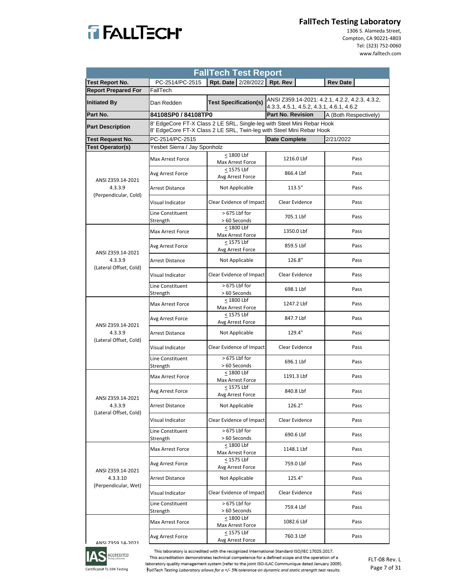

 1306 S. Alameda Street, Compton, CA 90221‐4803 Tel: (323) 752‐0060 www.falltech.com

| <b>FallTech Test Report</b>       |                              |                                                                                                                                                |                                          |                                                |  |  |
|-----------------------------------|------------------------------|------------------------------------------------------------------------------------------------------------------------------------------------|------------------------------------------|------------------------------------------------|--|--|
| <b>Test Report No.</b>            | PC-2514/PC-2515              | Rpt. Date 2/28/2022                                                                                                                            | Rpt. Rev                                 | <b>Rev Date</b>                                |  |  |
| <b>Report Prepared For</b>        | FallTech                     |                                                                                                                                                |                                          |                                                |  |  |
| <b>Initiated By</b>               | Dan Redden                   | <b>Test Specification(s)</b>                                                                                                                   | 4.3.3, 4.5.1, 4.5.2, 4.3.1, 4.6.1, 4.6.2 | ANSI Z359.14-2021: 4.2.1, 4.2.2, 4.2.3, 4.3.2, |  |  |
| Part No.                          | 84108SP0 / 84108TP0          |                                                                                                                                                | <b>Part No. Revision</b>                 | A (Both Respectively)                          |  |  |
| <b>Part Description</b>           |                              | 8' EdgeCore FT-X Class 2 LE SRL, Single-leg with Steel Mini Rebar Hook<br>8' EdgeCore FT-X Class 2 LE SRL, Twin-leg with Steel Mini Rebar Hook |                                          |                                                |  |  |
| Test Request No.                  | PC-2514/PC-2515              |                                                                                                                                                | <b>Date Complete</b>                     | 2/21/2022                                      |  |  |
| <b>Test Operator(s)</b>           | Yesbet Sierra / Jay Sponholz |                                                                                                                                                |                                          |                                                |  |  |
|                                   | Max Arrest Force             | < 1800 Lbf<br>Max Arrest Force                                                                                                                 | 1216.0 Lbf                               | Pass                                           |  |  |
| ANSI Z359.14-2021                 | Avg Arrest Force             | < 1575 Lbf<br>Avg Arrest Force                                                                                                                 | 866.4 Lbf                                | Pass                                           |  |  |
| 4.3.3.9<br>(Perpendicular, Cold)  | <b>Arrest Distance</b>       | Not Applicable                                                                                                                                 | 113.5"                                   | Pass                                           |  |  |
|                                   | Visual Indicator             | Clear Evidence of Impact                                                                                                                       | Clear Evidence                           | Pass                                           |  |  |
|                                   | Line Constituent<br>Strength | > 675 Lbf for<br>> 60 Seconds                                                                                                                  | 705.1 Lbf                                | Pass                                           |  |  |
|                                   | <b>Max Arrest Force</b>      | < 1800 Lbf<br>Max Arrest Force                                                                                                                 | 1350.0 Lbf                               | Pass                                           |  |  |
| ANSI Z359.14-2021                 | Avg Arrest Force             | < 1575 Lbf<br>Avg Arrest Force                                                                                                                 | 859.5 Lbf                                | Pass                                           |  |  |
| 4.3.3.9<br>(Lateral Offset, Cold) | <b>Arrest Distance</b>       | Not Applicable                                                                                                                                 | 126.8"                                   | Pass                                           |  |  |
|                                   | Visual Indicator             | Clear Evidence of Impact                                                                                                                       | Clear Evidence                           | Pass                                           |  |  |
|                                   | Line Constituent<br>Strength | > 675 Lbf for<br>> 60 Seconds                                                                                                                  | 698.1 Lbf                                | Pass                                           |  |  |
|                                   | Max Arrest Force             | < 1800 Lbf<br>Max Arrest Force                                                                                                                 | 1247.2 Lbf                               | Pass                                           |  |  |
| ANSI Z359.14-2021                 | Avg Arrest Force             | < 1575 Lbf<br>Avg Arrest Force                                                                                                                 | 847.7 Lbf                                | Pass                                           |  |  |
| 4.3.3.9<br>(Lateral Offset, Cold) | <b>Arrest Distance</b>       | Not Applicable                                                                                                                                 | 129.4"                                   | Pass                                           |  |  |
|                                   | Visual Indicator             | Clear Evidence of Impact                                                                                                                       | Clear Evidence                           | Pass                                           |  |  |
|                                   | Line Constituent<br>Strength | $>675$ Lbf for<br>> 60 Seconds                                                                                                                 | 696.1 Lbf                                | Pass                                           |  |  |
|                                   | Max Arrest Force             | < 1800 Lbf<br>Max Arrest Force                                                                                                                 | 1191.3 Lbf                               | Pass                                           |  |  |
| ANSI Z359.14-2021                 | Avg Arrest Force             | < 1575 Lbf<br>Avg Arrest Force                                                                                                                 | 840.8 Lbf                                | Pass                                           |  |  |
| 4.3.3.9<br>(Lateral Offset, Cold) | Arrest Distance              | Not Applicable                                                                                                                                 | 126.2"                                   | Pass                                           |  |  |
|                                   | Visual Indicator             | Clear Evidence of Impact                                                                                                                       | Clear Evidence                           | Pass                                           |  |  |
|                                   | Line Constituent<br>Strength | > 675 Lbf for<br>> 60 Seconds                                                                                                                  | 690.6 Lbf                                | Pass                                           |  |  |
|                                   | Max Arrest Force             | < 1800 Lbf<br>Max Arrest Force                                                                                                                 | 1148.1 Lbf                               | Pass                                           |  |  |
| ANSI Z359.14-2021                 | Avg Arrest Force             | < 1575 Lbf<br>Avg Arrest Force                                                                                                                 | 759.0 Lbf                                | Pass                                           |  |  |
| 4.3.3.10<br>(Perpendicular, Wet)  | Arrest Distance              | Not Applicable                                                                                                                                 | 125.4"                                   | Pass                                           |  |  |
|                                   | Visual Indicator             | Clear Evidence of Impact                                                                                                                       | Clear Evidence                           | Pass                                           |  |  |
|                                   | Line Constituent<br>Strength | > 675 Lbf for<br>> 60 Seconds                                                                                                                  | 759.4 Lbf                                | Pass                                           |  |  |
|                                   | Max Arrest Force             | $\leq$ 1800 Lbf<br>Max Arrest Force                                                                                                            | 1082.6 Lbf                               | Pass                                           |  |  |
| ANSI 7350 14-2021                 | Avg Arrest Force             | < 1575 Lbf<br>Avg Arrest Force                                                                                                                 | 760.3 Lbf                                | Pass                                           |  |  |



This laboratory is accredited with the recognized International Standard ISO/IEC 17025:2017.

This accreditation demonstrates technical competence for a defined scope and the operation of a

Certificate# TL‐594 Testing

laboratory quality management system (refer to the joint ISO-ILAC Communique dated January 2009). FallTech Testing Laboratory allows for a +/- 5% tolerance on dynamic and static strength test results.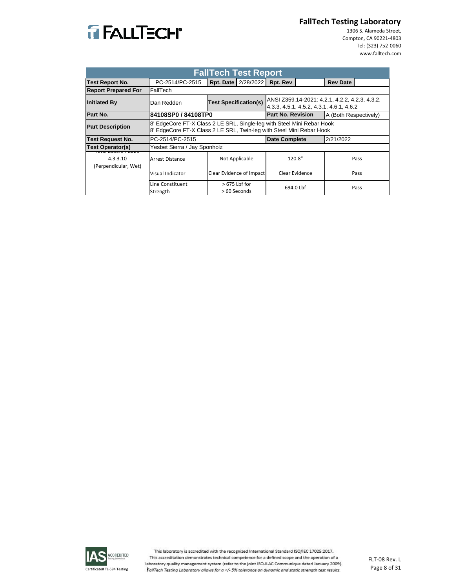

 1306 S. Alameda Street, Compton, CA 90221‐4803 Tel: (323) 752‐0060 www.falltech.com

| <b>FallTech Test Report</b>                 |                                                                                                                                                |                                |                                                                                            |                       |  |  |
|---------------------------------------------|------------------------------------------------------------------------------------------------------------------------------------------------|--------------------------------|--------------------------------------------------------------------------------------------|-----------------------|--|--|
| <b>Test Report No.</b>                      | PC-2514/PC-2515                                                                                                                                | Rpt. Date   2/28/2022          | Rpt. Rev                                                                                   | <b>Rev Date</b>       |  |  |
| <b>Report Prepared For</b>                  | FallTech                                                                                                                                       |                                |                                                                                            |                       |  |  |
| <b>Initiated By</b>                         | Dan Redden                                                                                                                                     | <b>Test Specification(s)</b>   | ANSI Z359.14-2021: 4.2.1, 4.2.2, 4.2.3, 4.3.2,<br>4.3.3, 4.5.1, 4.5.2, 4.3.1, 4.6.1, 4.6.2 |                       |  |  |
| Part No.                                    | 84108SP0 / 84108TP0                                                                                                                            |                                | <b>Part No. Revision</b>                                                                   | A (Both Respectively) |  |  |
| <b>Part Description</b>                     | 8' EdgeCore FT-X Class 2 LE SRL, Single-leg with Steel Mini Rebar Hook<br>8' EdgeCore FT-X Class 2 LE SRL, Twin-leg with Steel Mini Rebar Hook |                                |                                                                                            |                       |  |  |
| Test Request No.                            | PC-2514/PC-2515                                                                                                                                |                                | <b>Date Complete</b>                                                                       | 2/21/2022             |  |  |
| <b>Test Operator(s)</b>                     | Yesbet Sierra / Jay Sponholz                                                                                                                   |                                |                                                                                            |                       |  |  |
| 31 <i>C.3.3.</i> 3. 1972 VIZ. 1<br>4.3.3.10 | Arrest Distance                                                                                                                                | Not Applicable                 | 120.8"                                                                                     | Pass                  |  |  |
| (Perpendicular, Wet)                        | Visual Indicator                                                                                                                               | Clear Evidence of Impact       | Clear Evidence                                                                             | Pass                  |  |  |
|                                             | Line Constituent<br>Strength                                                                                                                   | $>675$ Lbf for<br>> 60 Seconds | 694.0 Lbf                                                                                  | Pass                  |  |  |

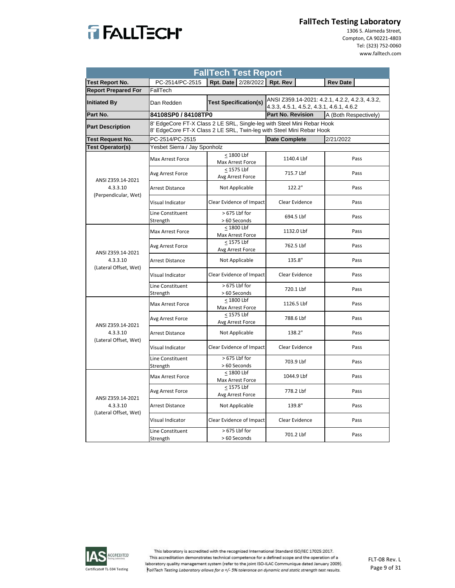

 1306 S. Alameda Street, Compton, CA 90221‐4803 Tel: (323) 752‐0060 www.falltech.com

| <b>FallTech Test Report</b>       |                                                                                                                                                |                                  |                                                                                            |                       |  |  |
|-----------------------------------|------------------------------------------------------------------------------------------------------------------------------------------------|----------------------------------|--------------------------------------------------------------------------------------------|-----------------------|--|--|
| <b>Test Report No.</b>            | PC-2514/PC-2515                                                                                                                                | Rpt. Date 2/28/2022 Rpt. Rev     |                                                                                            | <b>Rev Date</b>       |  |  |
| <b>Report Prepared For</b>        | FallTech                                                                                                                                       |                                  |                                                                                            |                       |  |  |
| <b>Initiated By</b>               | Dan Redden                                                                                                                                     | <b>Test Specification(s)</b>     | ANSI Z359.14-2021: 4.2.1, 4.2.2, 4.2.3, 4.3.2,<br>4.3.3, 4.5.1, 4.5.2, 4.3.1, 4.6.1, 4.6.2 |                       |  |  |
| Part No.                          | 84108SP0 / 84108TP0                                                                                                                            |                                  | <b>Part No. Revision</b>                                                                   | A (Both Respectively) |  |  |
| <b>Part Description</b>           | 8' EdgeCore FT-X Class 2 LE SRL, Single-leg with Steel Mini Rebar Hook<br>8' EdgeCore FT-X Class 2 LE SRL, Twin-leg with Steel Mini Rebar Hook |                                  |                                                                                            |                       |  |  |
| Test Request No.                  | PC-2514/PC-2515                                                                                                                                |                                  | <b>Date Complete</b>                                                                       | 2/21/2022             |  |  |
| Test Operator(s)                  | Yesbet Sierra / Jay Sponholz                                                                                                                   |                                  |                                                                                            |                       |  |  |
|                                   | Max Arrest Force                                                                                                                               | < 1800 Lbf<br>Max Arrest Force   | 1140.4 Lbf                                                                                 | Pass                  |  |  |
| ANSI Z359.14-2021                 | Avg Arrest Force                                                                                                                               | < 1575 Lbf<br>Avg Arrest Force   | 715.7 Lbf                                                                                  | Pass                  |  |  |
| 4.3.3.10<br>(Perpendicular, Wet)  | <b>Arrest Distance</b>                                                                                                                         | Not Applicable                   | 122.2"                                                                                     | Pass                  |  |  |
|                                   | Visual Indicator                                                                                                                               | Clear Evidence of Impact         | Clear Evidence                                                                             | Pass                  |  |  |
|                                   | Line Constituent<br>Strength                                                                                                                   | > 675 Lbf for<br>> 60 Seconds    | 694.5 Lbf                                                                                  | Pass                  |  |  |
|                                   | Max Arrest Force                                                                                                                               | $< 1800$ Lbf<br>Max Arrest Force | 1132.0 Lbf                                                                                 | Pass                  |  |  |
| ANSI Z359.14-2021                 | Avg Arrest Force                                                                                                                               | < 1575 Lbf<br>Avg Arrest Force   | 762.5 Lbf                                                                                  | Pass                  |  |  |
| 4.3.3.10<br>(Lateral Offset, Wet) | <b>Arrest Distance</b>                                                                                                                         | Not Applicable                   | 135.8"                                                                                     | Pass                  |  |  |
|                                   | Visual Indicator                                                                                                                               | Clear Evidence of Impact         | Clear Evidence                                                                             | Pass                  |  |  |
|                                   | Line Constituent<br>Strength                                                                                                                   | > 675 Lbf for<br>> 60 Seconds    | 720.1 Lbf                                                                                  | Pass                  |  |  |
|                                   | Max Arrest Force                                                                                                                               | < 1800 Lbf<br>Max Arrest Force   | 1126.5 Lbf                                                                                 | Pass                  |  |  |
| ANSI Z359.14-2021                 | Avg Arrest Force                                                                                                                               | < 1575 Lbf<br>Avg Arrest Force   | 788.6 Lbf                                                                                  | Pass                  |  |  |
| 4.3.3.10<br>(Lateral Offset, Wet) | <b>Arrest Distance</b>                                                                                                                         | Not Applicable                   | 138.2"                                                                                     | Pass                  |  |  |
|                                   | Visual Indicator                                                                                                                               | Clear Evidence of Impact         | Clear Evidence                                                                             | Pass                  |  |  |
|                                   | Line Constituent<br>Strength                                                                                                                   | > 675 Lbf for<br>> 60 Seconds    | 703.9 Lbf                                                                                  | Pass                  |  |  |
|                                   | Max Arrest Force                                                                                                                               | $< 1800$ Lbf<br>Max Arrest Force | 1044.9 Lbf                                                                                 | Pass                  |  |  |
| ANSI Z359.14-2021                 | Avg Arrest Force                                                                                                                               | < 1575 Lbf<br>Avg Arrest Force   | 778.2 Lbf                                                                                  | Pass                  |  |  |
| 4.3.3.10<br>(Lateral Offset, Wet) | <b>Arrest Distance</b>                                                                                                                         | Not Applicable                   | 139.8"                                                                                     | Pass                  |  |  |
|                                   | Visual Indicator                                                                                                                               | Clear Evidence of Impact         | Clear Evidence                                                                             | Pass                  |  |  |
|                                   | Line Constituent<br>Strength                                                                                                                   | > 675 Lbf for<br>> 60 Seconds    | 701.2 Lbf                                                                                  | Pass                  |  |  |

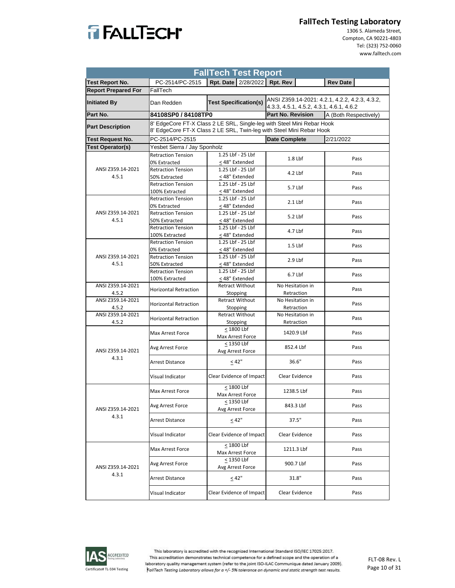

 1306 S. Alameda Street, Compton, CA 90221‐4803 Tel: (323) 752‐0060 www.falltech.com

| <b>FallTech Test Report</b> |                                                                                  |                                                                                                                                                |                                          |                                                |  |  |
|-----------------------------|----------------------------------------------------------------------------------|------------------------------------------------------------------------------------------------------------------------------------------------|------------------------------------------|------------------------------------------------|--|--|
| <b>Test Report No.</b>      | PC-2514/PC-2515                                                                  | Rpt. Date 2/28/2022 Rpt. Rev                                                                                                                   |                                          | <b>Rev Date</b>                                |  |  |
| <b>Report Prepared For</b>  | FallTech                                                                         |                                                                                                                                                |                                          |                                                |  |  |
| <b>Initiated By</b>         | Dan Redden                                                                       | <b>Test Specification(s)</b>                                                                                                                   | 4.3.3, 4.5.1, 4.5.2, 4.3.1, 4.6.1, 4.6.2 | ANSI Z359.14-2021: 4.2.1, 4.2.2, 4.2.3, 4.3.2, |  |  |
| Part No.                    | 84108SP0 / 84108TP0                                                              |                                                                                                                                                | <b>Part No. Revision</b>                 | A (Both Respectively)                          |  |  |
| <b>Part Description</b>     |                                                                                  | 8' EdgeCore FT-X Class 2 LE SRL, Single-leg with Steel Mini Rebar Hook<br>8' EdgeCore FT-X Class 2 LE SRL, Twin-leg with Steel Mini Rebar Hook |                                          |                                                |  |  |
| <b>Test Request No.</b>     | PC-2514/PC-2515                                                                  |                                                                                                                                                | <b>Date Complete</b>                     | 2/21/2022                                      |  |  |
| <b>Test Operator(s)</b>     | Yesbet Sierra / Jay Sponholz                                                     |                                                                                                                                                |                                          |                                                |  |  |
|                             | 1.25 Lbf - 25 Lbf<br><b>Retraction Tension</b><br>< 48" Extended<br>0% Extracted |                                                                                                                                                | $1.8$ Lbf                                | Pass                                           |  |  |
| ANSI Z359.14-2021<br>4.5.1  | <b>Retraction Tension</b><br>50% Extracted                                       | 1.25 Lbf - 25 Lbf<br>< 48" Extended                                                                                                            | $4.2$ Lbf                                | Pass                                           |  |  |
|                             | <b>Retraction Tension</b><br>100% Extracted                                      | 1.25 Lbf - 25 Lbf<br>< 48" Extended                                                                                                            | 5.7 Lbf                                  | Pass                                           |  |  |
|                             | <b>Retraction Tension</b><br>0% Extracted                                        | 1.25 Lbf - 25 Lbf<br>< 48" Extended                                                                                                            | $2.1$ Lbf                                | Pass                                           |  |  |
| ANSI Z359.14-2021<br>4.5.1  | <b>Retraction Tension</b><br>50% Extracted                                       | 1.25 Lbf - 25 Lbf<br>< 48" Extended                                                                                                            | 5.2 Lbf                                  | Pass                                           |  |  |
|                             | <b>Retraction Tension</b><br>100% Extracted                                      | 1.25 Lbf - 25 Lbf<br>< 48" Extended                                                                                                            | 4.7 Lbf                                  | Pass                                           |  |  |
|                             | <b>Retraction Tension</b><br>0% Extracted                                        | 1.25 Lbf - 25 Lbf<br>< 48" Extended                                                                                                            | $1.5$ Lbf                                | Pass                                           |  |  |
| ANSI Z359.14-2021<br>4.5.1  | <b>Retraction Tension</b><br>50% Extracted                                       | 1.25 Lbf - 25 Lbf<br>< 48" Extended                                                                                                            | $2.9$ Lbf                                | Pass                                           |  |  |
|                             | <b>Retraction Tension</b><br>100% Extracted                                      | 1.25 Lbf - 25 Lbf<br>< 48" Extended                                                                                                            | 6.7 Lbf                                  | Pass                                           |  |  |
| ANSI Z359.14-2021<br>4.5.2  | <b>Horizontal Retraction</b>                                                     | <b>Retract Without</b><br>Stopping                                                                                                             | No Hesitation in<br>Retraction           | Pass                                           |  |  |
| ANSI Z359.14-2021<br>4.5.2  | <b>Horizontal Retraction</b>                                                     | <b>Retract Without</b><br>Stopping                                                                                                             | No Hesitation in<br>Retraction           | Pass                                           |  |  |
| ANSI Z359.14-2021<br>4.5.2  | <b>Horizontal Retraction</b>                                                     | <b>Retract Without</b><br>Stopping                                                                                                             | No Hesitation in<br>Retraction           | Pass                                           |  |  |
|                             | Max Arrest Force                                                                 | < 1800 Lbf<br>Max Arrest Force                                                                                                                 | 1420.9 Lbf                               | Pass                                           |  |  |
| ANSI Z359.14-2021           | Avg Arrest Force                                                                 | < 1350 Lbf<br>Avg Arrest Force                                                                                                                 | 852.4 Lbf                                | Pass                                           |  |  |
| 4.3.1                       | <b>Arrest Distance</b>                                                           | < 42"                                                                                                                                          | 36.6"                                    | Pass                                           |  |  |
|                             | Visual Indicator                                                                 | Clear Evidence of Impact                                                                                                                       | Clear Evidence                           | Pass                                           |  |  |
|                             | Max Arrest Force                                                                 | <1800 Lbf<br>Max Arrest Force                                                                                                                  | 1238.5 Lbf                               | Pass                                           |  |  |
| ANSI Z359.14-2021           | Avg Arrest Force                                                                 | $\leq$ 1350 Lbf<br>Avg Arrest Force                                                                                                            | 843.3 Lbf                                | Pass                                           |  |  |
| 4.3.1                       | <b>Arrest Distance</b>                                                           | < 42"                                                                                                                                          | 37.5"                                    | Pass                                           |  |  |
|                             | Visual Indicator                                                                 | Clear Evidence of Impact                                                                                                                       | Clear Evidence                           | Pass                                           |  |  |
|                             | Max Arrest Force                                                                 | $\leq 1800$ Lbf<br>Max Arrest Force                                                                                                            | 1211.3 Lbf                               | Pass                                           |  |  |
| ANSI Z359.14-2021           | Avg Arrest Force                                                                 | $<$ 1350 Lbf<br>Avg Arrest Force                                                                                                               | 900.7 Lbf                                | Pass                                           |  |  |
| 4.3.1                       | Arrest Distance                                                                  | < 42"                                                                                                                                          | 31.8"                                    | Pass                                           |  |  |
|                             | Visual Indicator                                                                 | Clear Evidence of Impact                                                                                                                       | Clear Evidence                           | Pass                                           |  |  |

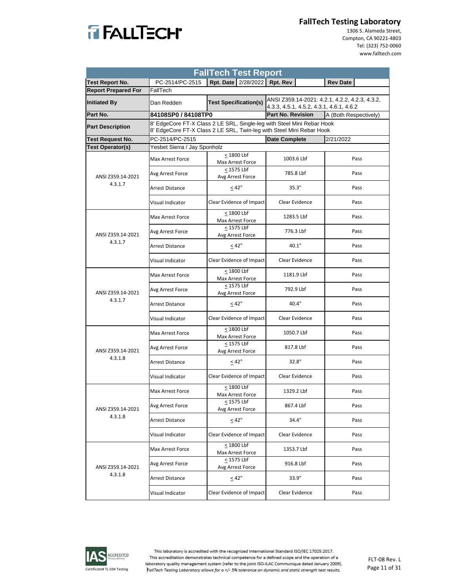

 1306 S. Alameda Street, Compton, CA 90221‐4803 Tel: (323) 752‐0060 www.falltech.com

| <b>FallTech Test Report</b>  |                                                                                                                                                |                                       |                                                                                            |                       |  |  |  |
|------------------------------|------------------------------------------------------------------------------------------------------------------------------------------------|---------------------------------------|--------------------------------------------------------------------------------------------|-----------------------|--|--|--|
| <b>Test Report No.</b>       | PC-2514/PC-2515                                                                                                                                | Rpt. Date   2/28/2022   Rpt. Rev      |                                                                                            | <b>Rev Date</b>       |  |  |  |
| <b>Report Prepared For</b>   | FallTech                                                                                                                                       |                                       |                                                                                            |                       |  |  |  |
| <b>Initiated By</b>          | <b>Test Specification(s)</b><br>Dan Redden                                                                                                     |                                       | ANSI Z359.14-2021: 4.2.1, 4.2.2, 4.2.3, 4.3.2,<br>4.3.3, 4.5.1, 4.5.2, 4.3.1, 4.6.1, 4.6.2 |                       |  |  |  |
| Part No.                     |                                                                                                                                                | 84108SP0 / 84108TP0                   |                                                                                            | A (Both Respectively) |  |  |  |
| <b>Part Description</b>      | 8' EdgeCore FT-X Class 2 LE SRL, Single-leg with Steel Mini Rebar Hook<br>8' EdgeCore FT-X Class 2 LE SRL, Twin-leg with Steel Mini Rebar Hook |                                       |                                                                                            |                       |  |  |  |
| <b>Test Request No.</b>      | PC-2514/PC-2515                                                                                                                                |                                       | <b>Date Complete</b>                                                                       | 2/21/2022             |  |  |  |
| <b>Test Operator(s)</b>      | Yesbet Sierra / Jay Sponholz                                                                                                                   |                                       |                                                                                            |                       |  |  |  |
| ANSI Z359.14-2021<br>4.3.1.7 | Max Arrest Force                                                                                                                               | < 1800 Lbf<br>Max Arrest Force        | 1003.6 Lbf                                                                                 | Pass                  |  |  |  |
|                              | Avg Arrest Force                                                                                                                               | < 1575 Lbf<br>Avg Arrest Force        | 785.8 Lbf                                                                                  | Pass                  |  |  |  |
|                              | Arrest Distance                                                                                                                                | < 42"                                 | 35.3"                                                                                      | Pass                  |  |  |  |
|                              | Visual Indicator                                                                                                                               | Clear Evidence of Impact              | Clear Evidence                                                                             | Pass                  |  |  |  |
| ANSI Z359.14-2021<br>4.3.1.7 | Max Arrest Force                                                                                                                               | < 1800 Lbf<br><b>Max Arrest Force</b> | 1283.5 Lbf                                                                                 | Pass                  |  |  |  |
|                              | Avg Arrest Force                                                                                                                               | < 1575 Lbf<br>Avg Arrest Force        | 776.3 Lbf                                                                                  | Pass                  |  |  |  |
|                              | <b>Arrest Distance</b>                                                                                                                         | < 42"                                 | 40.1"                                                                                      | Pass                  |  |  |  |
|                              | Visual Indicator                                                                                                                               | Clear Evidence of Impact              | Clear Evidence                                                                             | Pass                  |  |  |  |
| ANSI Z359.14-2021<br>4.3.1.7 | Max Arrest Force                                                                                                                               | < 1800 Lbf<br>Max Arrest Force        | 1181.9 Lbf                                                                                 | Pass                  |  |  |  |
|                              | Avg Arrest Force                                                                                                                               | < 1575 Lbf<br>Avg Arrest Force        | 792.9 Lbf                                                                                  | Pass                  |  |  |  |
|                              | Arrest Distance                                                                                                                                | < 42"                                 | 40.4"                                                                                      | Pass                  |  |  |  |
|                              | Visual Indicator                                                                                                                               | Clear Evidence of Impact              | Clear Evidence                                                                             | Pass                  |  |  |  |
| ANSI Z359.14-2021<br>4.3.1.8 | Max Arrest Force                                                                                                                               | < 1800 Lbf<br>Max Arrest Force        | 1050.7 Lbf                                                                                 | Pass                  |  |  |  |
|                              | Avg Arrest Force                                                                                                                               | < 1575 Lbf<br>Avg Arrest Force        | 817.8 Lbf                                                                                  | Pass                  |  |  |  |
|                              | <b>Arrest Distance</b>                                                                                                                         | < 42"                                 | 32.8"                                                                                      | Pass                  |  |  |  |
|                              | Visual Indicator                                                                                                                               | Clear Evidence of Impact              | Clear Evidence                                                                             | Pass                  |  |  |  |
| ANSI Z359.14-2021<br>4.3.1.8 | Max Arrest Force                                                                                                                               | < 1800 Lbf<br>Max Arrest Force        | 1329.2 Lbf                                                                                 | Pass                  |  |  |  |
|                              | Avg Arrest Force                                                                                                                               | $\leq$ 1575 Lbf<br>Avg Arrest Force   | 867.4 Lbf                                                                                  | Pass                  |  |  |  |
|                              | <b>Arrest Distance</b>                                                                                                                         | < 42"                                 | 34.4"                                                                                      | Pass                  |  |  |  |
|                              | Visual Indicator                                                                                                                               | Clear Evidence of Impact              | Clear Evidence                                                                             | Pass                  |  |  |  |
| ANSI Z359.14-2021<br>4.3.1.8 | Max Arrest Force                                                                                                                               | < 1800 Lbf<br>Max Arrest Force        | 1353.7 Lbf                                                                                 | Pass                  |  |  |  |
|                              | Avg Arrest Force                                                                                                                               | $\leq$ 1575 Lbf<br>Avg Arrest Force   | 916.8 Lbf                                                                                  | Pass                  |  |  |  |
|                              | Arrest Distance                                                                                                                                | $\leq 42"$                            | 33.9"                                                                                      | Pass                  |  |  |  |
|                              | Visual Indicator                                                                                                                               | Clear Evidence of Impact              | Clear Evidence                                                                             | Pass                  |  |  |  |